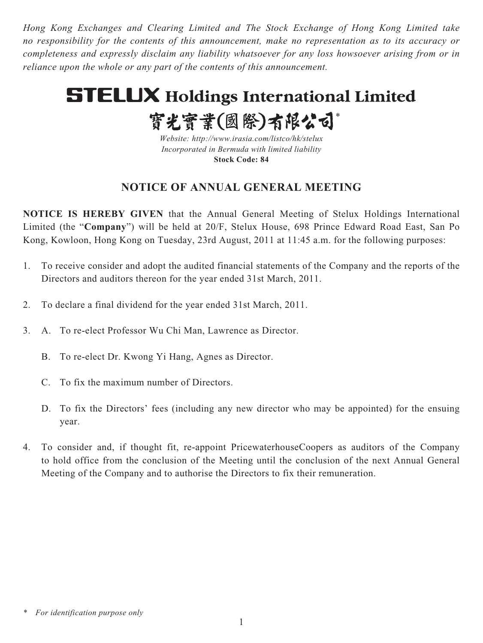*Hong Kong Exchanges and Clearing Limited and The Stock Exchange of Hong Kong Limited take no responsibility for the contents of this announcement, make no representation as to its accuracy or completeness and expressly disclaim any liability whatsoever for any loss howsoever arising from or in reliance upon the whole or any part of the contents of this announcement.*

# **STELUX Holdings International Limited**

實光實業(國際)有限公司\*

*Website: http://www.irasia.com/listco/hk/stelux Incorporated in Bermuda with limited liability* **Stock Code: 84**

## **NOTICE OF ANNUAL GENERAL MEETING**

**NOTICE IS HEREBY GIVEN** that the Annual General Meeting of Stelux Holdings International Limited (the "**Company**") will be held at 20/F, Stelux House, 698 Prince Edward Road East, San Po Kong, Kowloon, Hong Kong on Tuesday, 23rd August, 2011 at 11:45 a.m. for the following purposes:

- 1. To receive consider and adopt the audited financial statements of the Company and the reports of the Directors and auditors thereon for the year ended 31st March, 2011.
- 2. To declare a final dividend for the year ended 31st March, 2011.
- 3. A. To re-elect Professor Wu Chi Man, Lawrence as Director.
	- B. To re-elect Dr. Kwong Yi Hang, Agnes as Director.
	- C. To fix the maximum number of Directors.
	- D. To fix the Directors' fees (including any new director who may be appointed) for the ensuing year.
- 4. To consider and, if thought fit, re-appoint PricewaterhouseCoopers as auditors of the Company to hold office from the conclusion of the Meeting until the conclusion of the next Annual General Meeting of the Company and to authorise the Directors to fix their remuneration.

*<sup>\*</sup> For identification purpose only*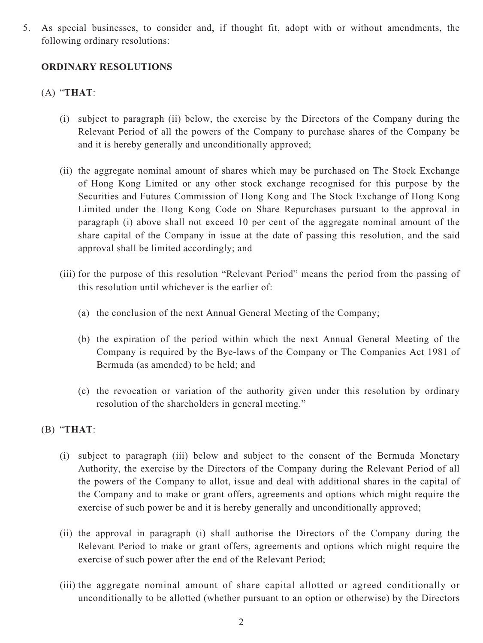5. As special businesses, to consider and, if thought fit, adopt with or without amendments, the following ordinary resolutions:

#### **ORDINARY RESOLUTIONS**

### (A) "**THAT**:

- (i) subject to paragraph (ii) below, the exercise by the Directors of the Company during the Relevant Period of all the powers of the Company to purchase shares of the Company be and it is hereby generally and unconditionally approved;
- (ii) the aggregate nominal amount of shares which may be purchased on The Stock Exchange of Hong Kong Limited or any other stock exchange recognised for this purpose by the Securities and Futures Commission of Hong Kong and The Stock Exchange of Hong Kong Limited under the Hong Kong Code on Share Repurchases pursuant to the approval in paragraph (i) above shall not exceed 10 per cent of the aggregate nominal amount of the share capital of the Company in issue at the date of passing this resolution, and the said approval shall be limited accordingly; and
- (iii) for the purpose of this resolution "Relevant Period" means the period from the passing of this resolution until whichever is the earlier of:
	- (a) the conclusion of the next Annual General Meeting of the Company;
	- (b) the expiration of the period within which the next Annual General Meeting of the Company is required by the Bye-laws of the Company or The Companies Act 1981 of Bermuda (as amended) to be held; and
	- (c) the revocation or variation of the authority given under this resolution by ordinary resolution of the shareholders in general meeting."

#### (B) "**THAT**:

- (i) subject to paragraph (iii) below and subject to the consent of the Bermuda Monetary Authority, the exercise by the Directors of the Company during the Relevant Period of all the powers of the Company to allot, issue and deal with additional shares in the capital of the Company and to make or grant offers, agreements and options which might require the exercise of such power be and it is hereby generally and unconditionally approved;
- (ii) the approval in paragraph (i) shall authorise the Directors of the Company during the Relevant Period to make or grant offers, agreements and options which might require the exercise of such power after the end of the Relevant Period;
- (iii) the aggregate nominal amount of share capital allotted or agreed conditionally or unconditionally to be allotted (whether pursuant to an option or otherwise) by the Directors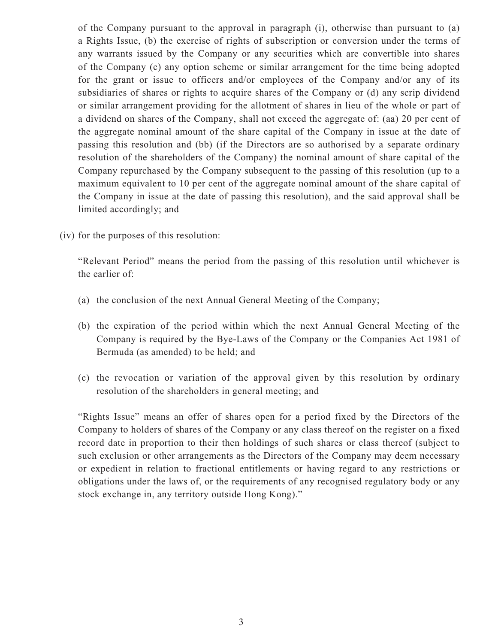of the Company pursuant to the approval in paragraph (i), otherwise than pursuant to (a) a Rights Issue, (b) the exercise of rights of subscription or conversion under the terms of any warrants issued by the Company or any securities which are convertible into shares of the Company (c) any option scheme or similar arrangement for the time being adopted for the grant or issue to officers and/or employees of the Company and/or any of its subsidiaries of shares or rights to acquire shares of the Company or (d) any scrip dividend or similar arrangement providing for the allotment of shares in lieu of the whole or part of a dividend on shares of the Company, shall not exceed the aggregate of: (aa) 20 per cent of the aggregate nominal amount of the share capital of the Company in issue at the date of passing this resolution and (bb) (if the Directors are so authorised by a separate ordinary resolution of the shareholders of the Company) the nominal amount of share capital of the Company repurchased by the Company subsequent to the passing of this resolution (up to a maximum equivalent to 10 per cent of the aggregate nominal amount of the share capital of the Company in issue at the date of passing this resolution), and the said approval shall be limited accordingly; and

(iv) for the purposes of this resolution:

"Relevant Period" means the period from the passing of this resolution until whichever is the earlier of:

- (a) the conclusion of the next Annual General Meeting of the Company;
- (b) the expiration of the period within which the next Annual General Meeting of the Company is required by the Bye-Laws of the Company or the Companies Act 1981 of Bermuda (as amended) to be held; and
- (c) the revocation or variation of the approval given by this resolution by ordinary resolution of the shareholders in general meeting; and

"Rights Issue" means an offer of shares open for a period fixed by the Directors of the Company to holders of shares of the Company or any class thereof on the register on a fixed record date in proportion to their then holdings of such shares or class thereof (subject to such exclusion or other arrangements as the Directors of the Company may deem necessary or expedient in relation to fractional entitlements or having regard to any restrictions or obligations under the laws of, or the requirements of any recognised regulatory body or any stock exchange in, any territory outside Hong Kong)."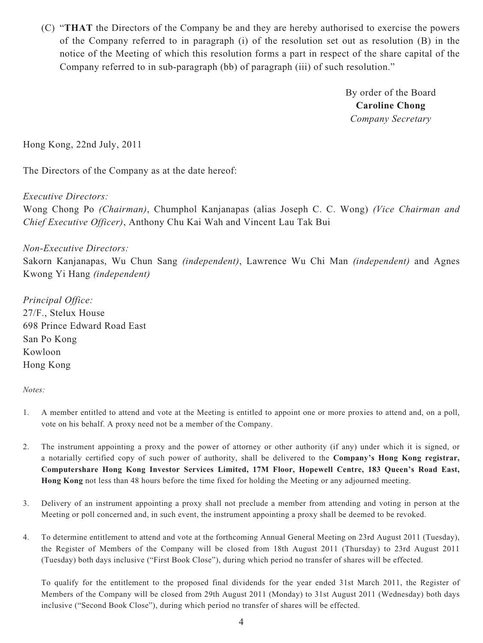(C) "**THAT** the Directors of the Company be and they are hereby authorised to exercise the powers of the Company referred to in paragraph (i) of the resolution set out as resolution (B) in the notice of the Meeting of which this resolution forms a part in respect of the share capital of the Company referred to in sub-paragraph (bb) of paragraph (iii) of such resolution."

> By order of the Board **Caroline Chong** *Company Secretary*

Hong Kong, 22nd July, 2011

The Directors of the Company as at the date hereof:

*Executive Directors:*

Wong Chong Po *(Chairman)*, Chumphol Kanjanapas (alias Joseph C. C. Wong) *(Vice Chairman and Chief Executive Officer)*, Anthony Chu Kai Wah and Vincent Lau Tak Bui

*Non-Executive Directors:*

Sakorn Kanjanapas, Wu Chun Sang *(independent)*, Lawrence Wu Chi Man *(independent)* and Agnes Kwong Yi Hang *(independent)* 

*Principal Office:* 27/F., Stelux House 698 Prince Edward Road East San Po Kong Kowloon Hong Kong

#### *Notes:*

- 1. A member entitled to attend and vote at the Meeting is entitled to appoint one or more proxies to attend and, on a poll, vote on his behalf. A proxy need not be a member of the Company.
- 2. The instrument appointing a proxy and the power of attorney or other authority (if any) under which it is signed, or a notarially certified copy of such power of authority, shall be delivered to the **Company's Hong Kong registrar, Computershare Hong Kong Investor Services Limited, 17M Floor, Hopewell Centre, 183 Queen's Road East, Hong Kong** not less than 48 hours before the time fixed for holding the Meeting or any adjourned meeting.
- 3. Delivery of an instrument appointing a proxy shall not preclude a member from attending and voting in person at the Meeting or poll concerned and, in such event, the instrument appointing a proxy shall be deemed to be revoked.
- 4. To determine entitlement to attend and vote at the forthcoming Annual General Meeting on 23rd August 2011 (Tuesday), the Register of Members of the Company will be closed from 18th August 2011 (Thursday) to 23rd August 2011 (Tuesday) both days inclusive ("First Book Close"), during which period no transfer of shares will be effected.

 To qualify for the entitlement to the proposed final dividends for the year ended 31st March 2011, the Register of Members of the Company will be closed from 29th August 2011 (Monday) to 31st August 2011 (Wednesday) both days inclusive ("Second Book Close"), during which period no transfer of shares will be effected.